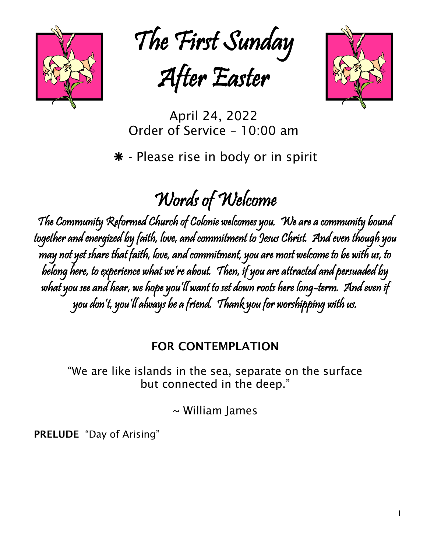

The First Sunday

After Easter



April 24, 2022 Order of Service – 10:00 am

\* - Please rise in body or in spirit

# Words of Welcome

The Community Reformed Church of Colonie welcomes you. We are a community bound together and energized by faith, love, and commitment to Jesus Christ. And even though you may not yet share that faith, love, and commitment, you are most welcome to be with us, to belong here, to experience what we're about. Then, if you are attracted and persuaded by what you see and hear, we hope you'll want to set down roots here long-term. And even if you don't, you'll always be a friend. Thank you for worshipping with us.

### FOR CONTEMPLATION

"We are like islands in the sea, separate on the surface but connected in the deep."

~ William James

PRELUDE "Day of Arising"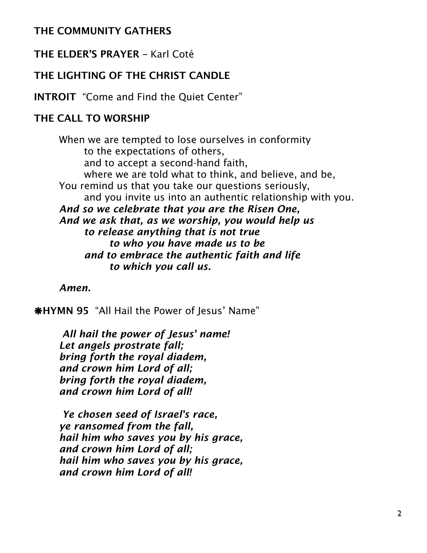### THE COMMUNITY GATHERS

### THE ELDER'S PRAYER – Karl Coté

### THE LIGHTING OF THE CHRIST CANDLE

INTROIT "Come and Find the Quiet Center"

### THE CALL TO WORSHIP

When we are tempted to lose ourselves in conformity to the expectations of others, and to accept a second-hand faith, where we are told what to think, and believe, and be, You remind us that you take our questions seriously, and you invite us into an authentic relationship with you. *And so we celebrate that you are the Risen One, And we ask that, as we worship, you would help us to release anything that is not true to who you have made us to be and to embrace the authentic faith and life to which you call us.*

*Amen.*

HYMN 95 "All Hail the Power of Jesus' Name"

*All hail the power of Jesus' name! Let angels prostrate fall; bring forth the royal diadem, and crown him Lord of all; bring forth the royal diadem, and crown him Lord of all!*

*Ye chosen seed of Israel's race, ye ransomed from the fall, hail him who saves you by his grace, and crown him Lord of all; hail him who saves you by his grace, and crown him Lord of all!*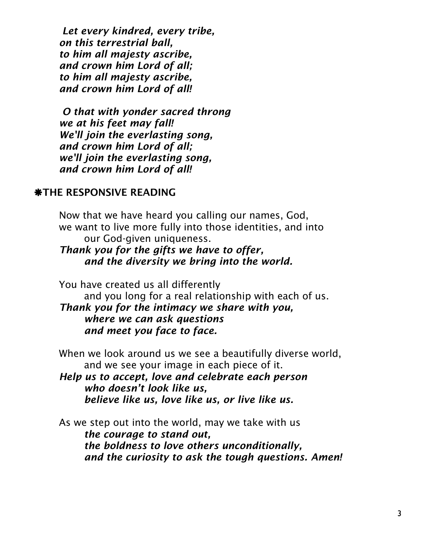*Let every kindred, every tribe, on this terrestrial ball, to him all majesty ascribe, and crown him Lord of all; to him all majesty ascribe, and crown him Lord of all!*

*O that with yonder sacred throng we at his feet may fall! We'll join the everlasting song, and crown him Lord of all; we'll join the everlasting song, and crown him Lord of all!*

### *\*THE RESPONSIVE READING*

Now that we have heard you calling our names, God, we want to live more fully into those identities, and into our God-given uniqueness.

*Thank you for the gifts we have to offer, and the diversity we bring into the world.*

You have created us all differently

and you long for a real relationship with each of us. *Thank you for the intimacy we share with you, where we can ask questions and meet you face to face.*

When we look around us we see a beautifully diverse world, and we see your image in each piece of it.

*Help us to accept, love and celebrate each person who doesn't look like us, believe like us, love like us, or live like us.*

As we step out into the world, may we take with us *the courage to stand out, the boldness to love others unconditionally, and the curiosity to ask the tough questions. Amen!*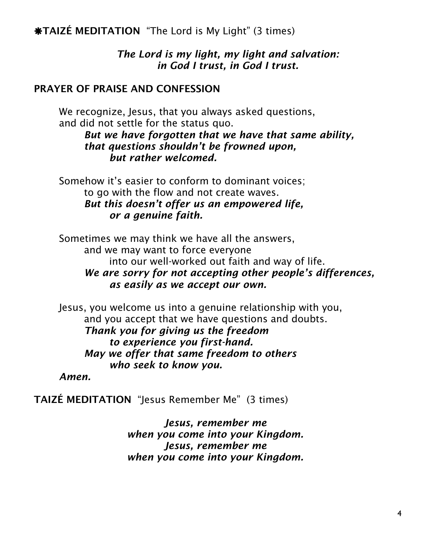**\*TAIZÉ MEDITATION** "The Lord is My Light" (3 times)

*The Lord is my light, my light and salvation: in God I trust, in God I trust.*

### PRAYER OF PRAISE AND CONFESSION

We recognize, Jesus, that you always asked questions, and did not settle for the status quo.

*But we have forgotten that we have that same ability, that questions shouldn't be frowned upon, but rather welcomed.*

Somehow it's easier to conform to dominant voices; to go with the flow and not create waves. *But this doesn't offer us an empowered life, or a genuine faith.*

Sometimes we may think we have all the answers, and we may want to force everyone into our well-worked out faith and way of life. *We are sorry for not accepting other people's differences, as easily as we accept our own.*

Jesus, you welcome us into a genuine relationship with you, and you accept that we have questions and doubts. *Thank you for giving us the freedom to experience you first-hand. May we offer that same freedom to others who seek to know you.*

*Amen.*

TAIZÉ MEDITATION "Jesus Remember Me" (3 times)

*Jesus, remember me when you come into your Kingdom. Jesus, remember me when you come into your Kingdom.*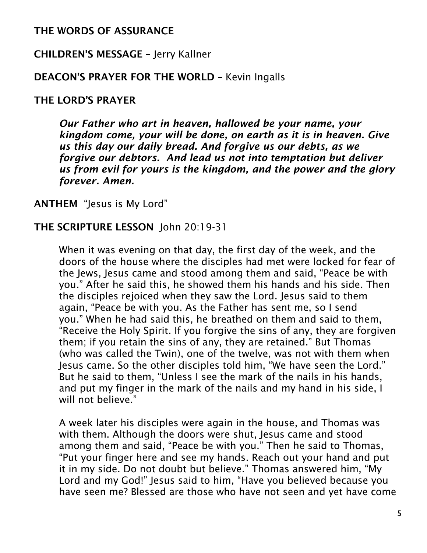### THE WORDS OF ASSURANCE

### CHILDREN'S MESSAGE – Jerry Kallner

### DEACON'S PRAYER FOR THE WORLD – Kevin Ingalls

### THE LORD'S PRAYER

*Our Father who art in heaven, hallowed be your name, your kingdom come, your will be done, on earth as it is in heaven. Give us this day our daily bread. And forgive us our debts, as we forgive our debtors. And lead us not into temptation but deliver us from evil for yours is the kingdom, and the power and the glory forever. Amen.*

ANTHEM "Jesus is My Lord"

### THE SCRIPTURE LESSON John 20:19-31

When it was evening on that day, the first day of the week, and the doors of the house where the disciples had met were locked for fear of the Jews, Jesus came and stood among them and said, "Peace be with you." After he said this, he showed them his hands and his side. Then the disciples rejoiced when they saw the Lord. Jesus said to them again, "Peace be with you. As the Father has sent me, so I send you." When he had said this, he breathed on them and said to them, "Receive the Holy Spirit. If you forgive the sins of any, they are forgiven them; if you retain the sins of any, they are retained." But Thomas (who was called the Twin), one of the twelve, was not with them when Jesus came. So the other disciples told him, "We have seen the Lord." But he said to them, "Unless I see the mark of the nails in his hands, and put my finger in the mark of the nails and my hand in his side, I will not believe."

A week later his disciples were again in the house, and Thomas was with them. Although the doors were shut, Jesus came and stood among them and said, "Peace be with you." Then he said to Thomas, "Put your finger here and see my hands. Reach out your hand and put it in my side. Do not doubt but believe." Thomas answered him, "My Lord and my God!" Jesus said to him, "Have you believed because you have seen me? Blessed are those who have not seen and yet have come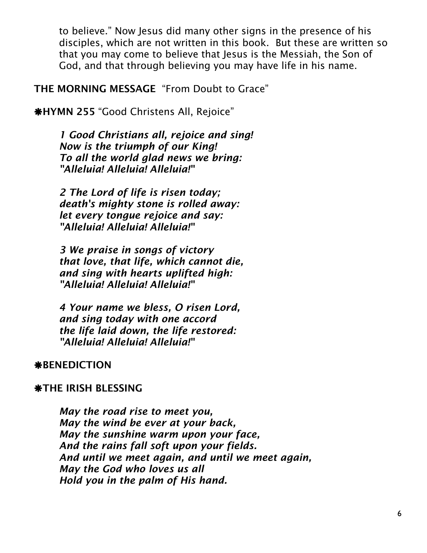to believe." Now Jesus did many other signs in the presence of his disciples, which are not written in this book. But these are written so that you may come to believe that Jesus is the Messiah, the Son of God, and that through believing you may have life in his name.

THE MORNING MESSAGE "From Doubt to Grace"

HYMN 255 "Good Christens All, Rejoice"

*1 Good Christians all, rejoice and sing! Now is the triumph of our King! To all the world glad news we bring: "Alleluia! Alleluia! Alleluia!"*

*2 The Lord of life is risen today; death's mighty stone is rolled away: let every tongue rejoice and say: "Alleluia! Alleluia! Alleluia!"*

*3 We praise in songs of victory that love, that life, which cannot die, and sing with hearts uplifted high: "Alleluia! Alleluia! Alleluia!"*

*4 Your name we bless, O risen Lord, and sing today with one accord the life laid down, the life restored: "Alleluia! Alleluia! Alleluia!"*

### **\*BENEDICTION**

### **\*THE IRISH BLESSING**

*May the road rise to meet you, May the wind be ever at your back, May the sunshine warm upon your face, And the rains fall soft upon your fields. And until we meet again, and until we meet again, May the God who loves us all Hold you in the palm of His hand.*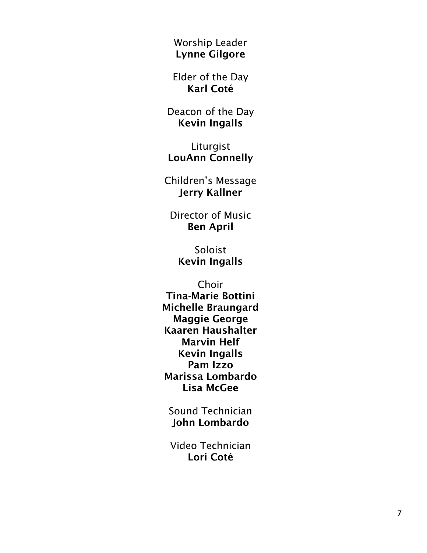Worship Leader Lynne Gilgore

Elder of the Day Karl Coté

Deacon of the Day Kevin Ingalls

Liturgist LouAnn Connelly

Children's Message Jerry Kallner

Director of Music Ben April

Soloist Kevin Ingall s

Choir Tina -Marie Bottini Michelle Braungard Maggie George Kaaren Haushalter Marvin Helf Kevin Ingalls Pam Izzo Marissa Lombardo Lisa McGee

Sound Technician John Lombardo

Video Technician Lori Coté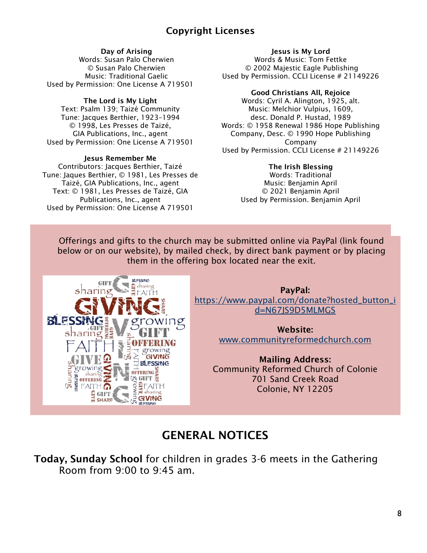### Copyright Licenses

#### Day of Arising

Words: Susan Palo Cherwien © Susan Palo Cherwien Music: Traditional Gaelic Used by Permission: One License A 719501

#### The Lord is My Light

Text: Psalm 139; Taizé Community Tune: Jacques Berthier, 1923–1994 © 1998, Les Presses de Taizé, GIA Publications, Inc., agent Used by Permission: One License A 719501

#### Jesus Remember Me

Contributors: Jacques Berthier, Taizé Tune: Jaques Berthier, © 1981, Les Presses de Taizé, GIA Publications, Inc., agent Text: © 1981, Les Presses de Taizé, GIA Publications, Inc., agent Used by Permission: One License A 719501

GIFT

**EXERCISE SPONING SERVICE** growing

E GIFT

RI FS

sharing

growing<br>GIVING **RI FSSING** 

**OFFERING:**  $GIFT$ 

> sharin **GIVING BLESSING**

#### Jesus is My Lord

Words & Music: Tom Fettke © 2002 Majestic Eagle Publishing Used by Permission. CCLI License # 21149226

#### Good Christians All, Rejoice

Words: Cyril A. Alington, 1925, alt. Music: Melchior Vulpius, 1609, desc. Donald P. Hustad, 1989 Words: © 1958 Renewal 1986 Hope Publishing Company, Desc. © 1990 Hope Publishing Company Used by Permission. CCLI License # 21149226

#### The Irish Blessing

Words: Traditional Music: Benjamin April © 2021 Benjamin April Used by Permission. Benjamin April

Offerings and gifts to the church may be submitted online via PayPal (link found below or on our website), by mailed check, by direct bank payment or by placing them in the offering box located near the exit.



Website: [www.communityreformedchurch.com](http://www.communityreformedchurch.com/)

Mailing Address: Community Reformed Church of Colonie 701 Sand Creek Road Colonie, NY 12205

## GENERAL NOTICES

Today, Sunday School for children in grades 3-6 meets in the Gathering Room from 9:00 to 9:45 am.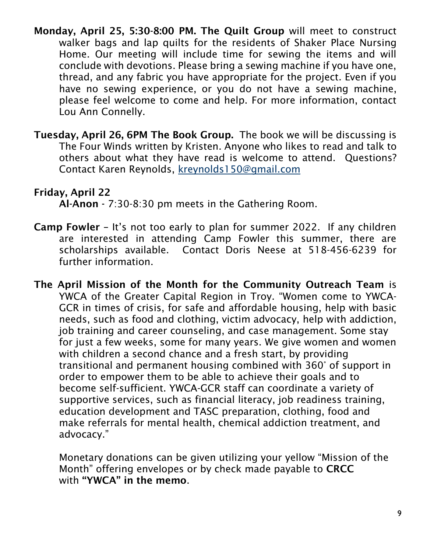- Monday, April 25, 5:30-8:00 PM. The Quilt Group will meet to construct walker bags and lap quilts for the residents of Shaker Place Nursing Home. Our meeting will include time for sewing the items and will conclude with devotions. Please bring a sewing machine if you have one, thread, and any fabric you have appropriate for the project. Even if you have no sewing experience, or you do not have a sewing machine, please feel welcome to come and help. For more information, contact Lou Ann Connelly.
- Tuesday, April 26, 6PM The Book Group. The book we will be discussing is The Four Winds written by Kristen. Anyone who likes to read and talk to others about what they have read is welcome to attend. Questions? Contact Karen Reynolds, [kreynolds150@gmail.com](mailto:kreynolds150@gmail.com)

### Friday, April 22

Al-Anon - 7:30-8:30 pm meets in the Gathering Room.

- Camp Fowler It's not too early to plan for summer 2022. If any children are interested in attending Camp Fowler this summer, there are scholarships available. Contact Doris Neese at 518-456-6239 for further information.
- The April Mission of the Month for the Community Outreach Team is YWCA of the Greater Capital Region in Troy. "Women come to YWCA-GCR in times of crisis, for safe and affordable housing, help with basic needs, such as food and clothing, victim advocacy, help with addiction, job training and career counseling, and case management. Some stay for just a few weeks, some for many years. We give women and women with children a second chance and a fresh start, by providing transitional and permanent housing combined with 360° of support in order to empower them to be able to achieve their goals and to become self-sufficient. YWCA-GCR staff can coordinate a variety of supportive services, such as financial literacy, job readiness training, education development and TASC preparation, clothing, food and make referrals for mental health, chemical addiction treatment, and advocacy."

Monetary donations can be given utilizing your yellow "Mission of the Month" offering envelopes or by check made payable to CRCC with "YWCA" in the memo.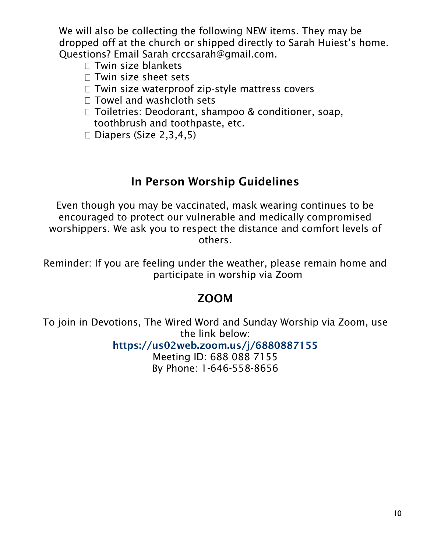We will also be collecting the following NEW items. They may be dropped off at the church or shipped directly to Sarah Huiest's home. Questions? Email Sarah crccsarah@gmail.com.

- $\Box$  Twin size blankets
- $\Box$  Twin size sheet sets
- $\Box$  Twin size waterproof zip-style mattress covers
- $\Box$  Towel and washcloth sets
- □ Toiletries: Deodorant, shampoo & conditioner, soap, toothbrush and toothpaste, etc.
- $\Box$  Diapers (Size 2,3,4,5)

### In Person Worship Guidelines

Even though you may be vaccinated, mask wearing continues to be encouraged to protect our vulnerable and medically compromised worshippers. We ask you to respect the distance and comfort levels of others.

Reminder: If you are feeling under the weather, please remain home and participate in worship via Zoom

### ZOOM

To join in Devotions, The Wired Word and Sunday Worship via Zoom, use the link below:

<https://us02web.zoom.us/j/6880887155>

Meeting ID: 688 088 7155 By Phone: 1-646-558-8656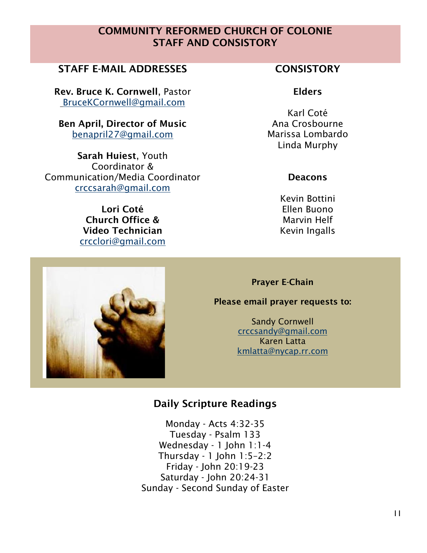### COMMUNITY REFORMED CHURCH OF COLONIE STAFF AND CONSISTORY

### STAFF E-MAIL ADDRESSES FOR THE CONSISTORY

Rev. Bruce K. Cornwell, Pastor [BruceKCornwell@gmail.com](mailto:BruceKCornwell@gmail.com)

Ben April, Director of Music benapril27@gmail.com

Sarah Huiest, Youth Coordinator & Communication/Media Coordinator [crccsarah@gmail.com](mailto:crccsarah@gmail.com)

> Lori Coté Church Office & Video Technician [crcclori@gmail.com](mailto:crcclori@gmail.com)

### Elders

Karl Coté Ana Crosbourne Marissa Lombardo Linda Murphy

#### **Deacons**

Kevin Bottini Ellen Buono Marvin Helf Kevin Ingalls

Prayer E-Chain

#### Please email prayer requests to:

Sandy Cornwell [crccsandy@gmail.com](mailto:crccsandy@gmail.com) Karen Latta [kmlatta@nycap.rr.com](mailto:kmlatta@nycap.rr.com)

### Daily Scripture Readings

Monday - Acts 4:32-35 Tuesday - Psalm 133 Wednesday - 1 John 1:1-4 Thursday - 1 John 1:5–2:2 Friday - John 20:19-23 Saturday - John 20:24-31 Sunday - Second Sunday of Easter